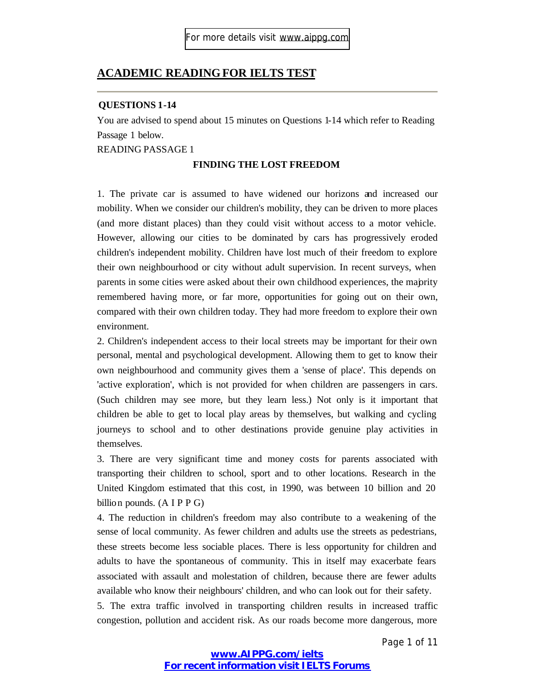# **ACADEMIC READING FOR IELTS TEST**

### **QUESTIONS 1-14**

You are advised to spend about 15 minutes on Questions 1-14 which refer to Reading Passage 1 below.

READING PASSAGE 1

#### **FINDING THE LOST FREEDOM**

1. The private car is assumed to have widened our horizons and increased our mobility. When we consider our children's mobility, they can be driven to more places (and more distant places) than they could visit without access to a motor vehicle. However, allowing our cities to be dominated by cars has progressively eroded children's independent mobility. Children have lost much of their freedom to explore their own neighbourhood or city without adult supervision. In recent surveys, when parents in some cities were asked about their own childhood experiences, the majority remembered having more, or far more, opportunities for going out on their own, compared with their own children today. They had more freedom to explore their own environment.

2. Children's independent access to their local streets may be important for their own personal, mental and psychological development. Allowing them to get to know their own neighbourhood and community gives them a 'sense of place'. This depends on 'active exploration', which is not provided for when children are passengers in cars. (Such children may see more, but they learn less.) Not only is it important that children be able to get to local play areas by themselves, but walking and cycling journeys to school and to other destinations provide genuine play activities in themselves.

3. There are very significant time and money costs for parents associated with transporting their children to school, sport and to other locations. Research in the United Kingdom estimated that this cost, in 1990, was between 10 billion and 20 billion pounds.  $(A \rvert P \rvert P \rvert G)$ 

4. The reduction in children's freedom may also contribute to a weakening of the sense of local community. As fewer children and adults use the streets as pedestrians, these streets become less sociable places. There is less opportunity for children and adults to have the spontaneous of community. This in itself may exacerbate fears associated with assault and molestation of children, because there are fewer adults available who know their neighbours' children, and who can look out for their safety.

5. The extra traffic involved in transporting children results in increased traffic congestion, pollution and accident risk. As our roads become more dangerous, more

Page 1 of 11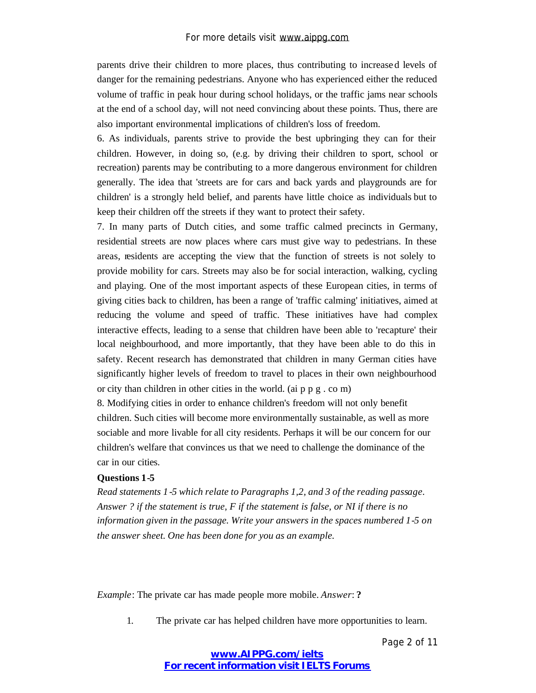parents drive their children to more places, thus contributing to increase d levels of danger for the remaining pedestrians. Anyone who has experienced either the reduced volume of traffic in peak hour during school holidays, or the traffic jams near schools at the end of a school day, will not need convincing about these points. Thus, there are also important environmental implications of children's loss of freedom.

6. As individuals, parents strive to provide the best upbringing they can for their children. However, in doing so, (e.g. by driving their children to sport, school or recreation) parents may be contributing to a more dangerous environment for children generally. The idea that 'streets are for cars and back yards and playgrounds are for children' is a strongly held belief, and parents have little choice as individuals but to keep their children off the streets if they want to protect their safety.

7. In many parts of Dutch cities, and some traffic calmed precincts in Germany, residential streets are now places where cars must give way to pedestrians. In these areas, residents are accepting the view that the function of streets is not solely to provide mobility for cars. Streets may also be for social interaction, walking, cycling and playing. One of the most important aspects of these European cities, in terms of giving cities back to children, has been a range of 'traffic calming' initiatives, aimed at reducing the volume and speed of traffic. These initiatives have had complex interactive effects, leading to a sense that children have been able to 'recapture' their local neighbourhood, and more importantly, that they have been able to do this in safety. Recent research has demonstrated that children in many German cities have significantly higher levels of freedom to travel to places in their own neighbourhood or city than children in other cities in the world. (ai p p g . co m)

8. Modifying cities in order to enhance children's freedom will not only benefit children. Such cities will become more environmentally sustainable, as well as more sociable and more livable for all city residents. Perhaps it will be our concern for our children's welfare that convinces us that we need to challenge the dominance of the car in our cities.

#### **Questions 1-5**

*Read statements 1 -5 which relate to Paragraphs 1,2, and 3 of the reading passage. Answer ? if the statement is true, F if the statement is false, or NI if there is no information given in the passage. Write your answers in the spaces numbered 1-5 on the answer sheet. One has been done for you as an example.*

*Example*: The private car has made people more mobile. *Answer*: **?**

1. The private car has helped children have more opportunities to learn.

Page 2 of 11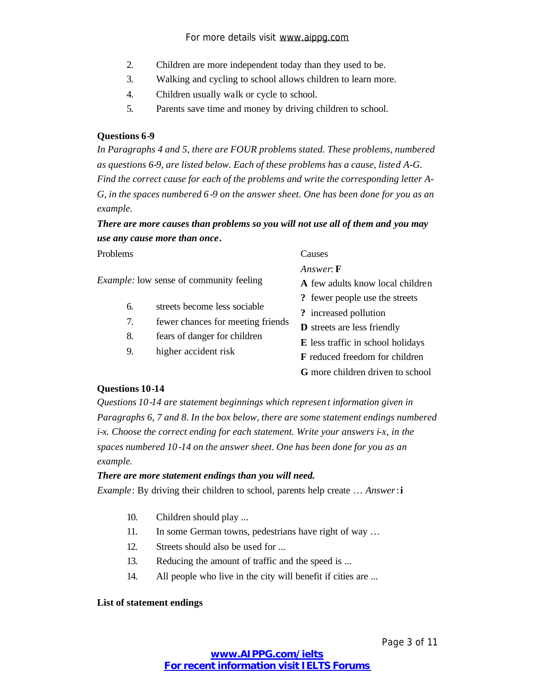## For more details visit www.aippg.com

- 2. Children are more independent today than they used to be.
- 3. Walking and cycling to school allows children to learn more.
- 4. Children usually walk or cycle to school.
- 5. Parents save time and money by driving children to school.

# **Questions 6-9**

*In Paragraphs 4 and 5, there are FOUR problems stated. These problems, numbered as questions 6-9, are listed below. Each of these problems has a cause, listed A-G. Find the correct cause for each of the problems and write the corresponding letter A-G, in the spaces numbered 6 -9 on the answer sheet. One has been done for you as an example.* 

*There are more causes than problems so you will not use all of them and you may use any cause more than once***.**

| Problems                                       |                                                                                                                           | Causes                                                                                                                                                                             |
|------------------------------------------------|---------------------------------------------------------------------------------------------------------------------------|------------------------------------------------------------------------------------------------------------------------------------------------------------------------------------|
| <i>Example:</i> low sense of community feeling |                                                                                                                           | Answer: F<br><b>A</b> few adults know local children                                                                                                                               |
| 6.<br>7.<br>8.<br>9.                           | streets become less sociable<br>fewer chances for meeting friends<br>fears of danger for children<br>higher accident risk | ? fewer people use the streets<br>? increased pollution<br><b>D</b> streets are less friendly<br><b>E</b> less traffic in school holidays<br><b>F</b> reduced freedom for children |
|                                                |                                                                                                                           | <b>G</b> more children driven to school                                                                                                                                            |

### **Questions 10-14**

*Questions 10 -14 are statement beginnings which represen t information given in Paragraphs 6, 7 and 8. In the box below, there are some statement endings numbered i-x. Choose the correct ending for each statement. Write your answers i-x, in the spaces numbered 10 -14 on the answer sheet. One has been done for you as an example.* 

# *There are more statement endings than you will need.*

*Example*: By driving their children to school, parents help create … *Answer*: **i**

- 10. Children should play ...
- 11. In some German towns, pedestrians have right of way …
- 12. Streets should also be used for ...
- 13. Reducing the amount of traffic and the speed is ...
- 14. All people who live in the city will benefit if cities are ...

### **List of statement endings**

Page 3 of 11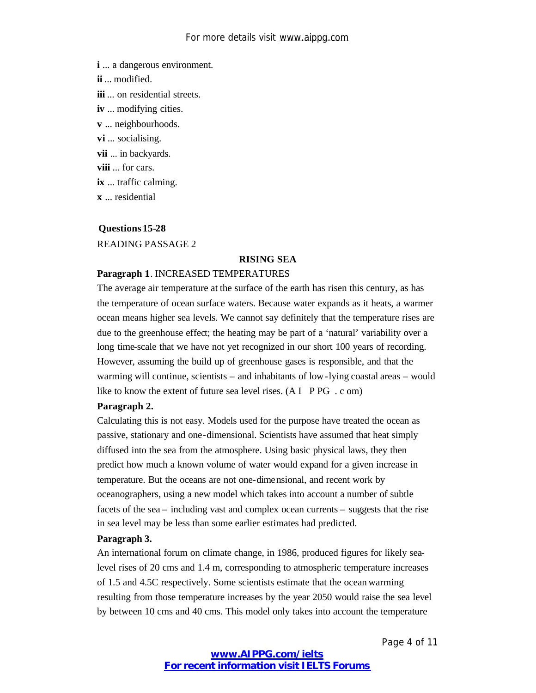**i** ... a dangerous environment. **ii** ... modified. **iii** ... on residential streets. **iv** ... modifying cities. **v** ... neighbourhoods. **vi** ... socialising. **vii** ... in backyards. **viii** ... for cars. **ix** ... traffic calming.

**x** ... residential

### **Questions 15-28**

READING PASSAGE 2

#### **RISING SEA**

#### **Paragraph 1**. INCREASED TEMPERATURES

The average air temperature at the surface of the earth has risen this century, as has the temperature of ocean surface waters. Because water expands as it heats, a warmer ocean means higher sea levels. We cannot say definitely that the temperature rises are due to the greenhouse effect; the heating may be part of a 'natural' variability over a long time-scale that we have not yet recognized in our short 100 years of recording. However, assuming the build up of greenhouse gases is responsible, and that the warming will continue, scientists – and inhabitants of low-lying coastal areas – would like to know the extent of future sea level rises. (A I P PG . c om)

### **Paragraph 2.**

Calculating this is not easy. Models used for the purpose have treated the ocean as passive, stationary and one-dimensional. Scientists have assumed that heat simply diffused into the sea from the atmosphere. Using basic physical laws, they then predict how much a known volume of water would expand for a given increase in temperature. But the oceans are not one-dimensional, and recent work by oceanographers, using a new model which takes into account a number of subtle facets of the sea – including vast and complex ocean currents – suggests that the rise in sea level may be less than some earlier estimates had predicted.

### **Paragraph 3.**

An international forum on climate change, in 1986, produced figures for likely sealevel rises of 20 cms and 1.4 m, corresponding to atmospheric temperature increases of 1.5 and 4.5C respectively. Some scientists estimate that the ocean warming resulting from those temperature increases by the year 2050 would raise the sea level by between 10 cms and 40 cms. This model only takes into account the temperature

Page 4 of 11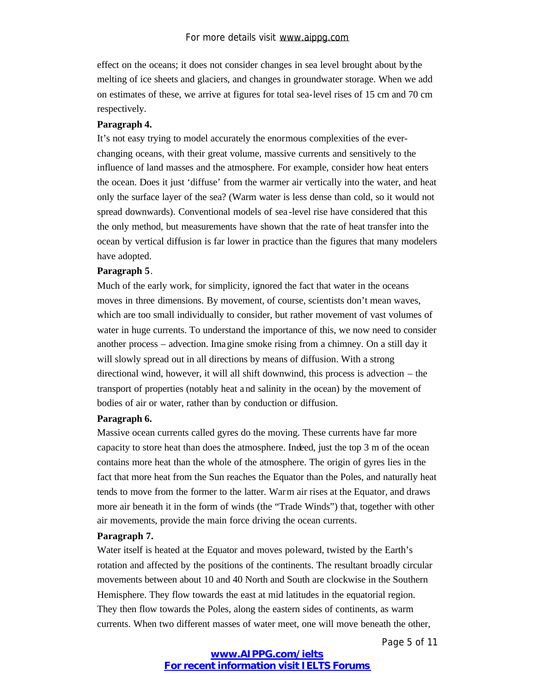effect on the oceans; it does not consider changes in sea level brought about by the melting of ice sheets and glaciers, and changes in groundwater storage. When we add on estimates of these, we arrive at figures for total sea-level rises of 15 cm and 70 cm respectively.

### **Paragraph 4.**

It's not easy trying to model accurately the enormous complexities of the everchanging oceans, with their great volume, massive currents and sensitively to the influence of land masses and the atmosphere. For example, consider how heat enters the ocean. Does it just 'diffuse' from the warmer air vertically into the water, and heat only the surface layer of the sea? (Warm water is less dense than cold, so it would not spread downwards). Conventional models of sea -level rise have considered that this the only method, but measurements have shown that the rate of heat transfer into the ocean by vertical diffusion is far lower in practice than the figures that many modelers have adopted.

#### **Paragraph 5**.

Much of the early work, for simplicity, ignored the fact that water in the oceans moves in three dimensions. By movement, of course, scientists don't mean waves, which are too small individually to consider, but rather movement of vast volumes of water in huge currents. To understand the importance of this, we now need to consider another process – advection. Imagine smoke rising from a chimney. On a still day it will slowly spread out in all directions by means of diffusion. With a strong directional wind, however, it will all shift downwind, this process is advection – the transport of properties (notably heat and salinity in the ocean) by the movement of bodies of air or water, rather than by conduction or diffusion.

### **Paragraph 6.**

Massive ocean currents called gyres do the moving. These currents have far more capacity to store heat than does the atmosphere. Indeed, just the top 3 m of the ocean contains more heat than the whole of the atmosphere. The origin of gyres lies in the fact that more heat from the Sun reaches the Equator than the Poles, and naturally heat tends to move from the former to the latter. Warm air rises at the Equator, and draws more air beneath it in the form of winds (the "Trade Winds") that, together with other air movements, provide the main force driving the ocean currents.

### **Paragraph 7.**

Water itself is heated at the Equator and moves poleward, twisted by the Earth's rotation and affected by the positions of the continents. The resultant broadly circular movements between about 10 and 40 North and South are clockwise in the Southern Hemisphere. They flow towards the east at mid latitudes in the equatorial region. They then flow towards the Poles, along the eastern sides of continents, as warm currents. When two different masses of water meet, one will move beneath the other,

Page 5 of 11

### **www.AIPPG.com/ielts For recent information visit IELTS Forums**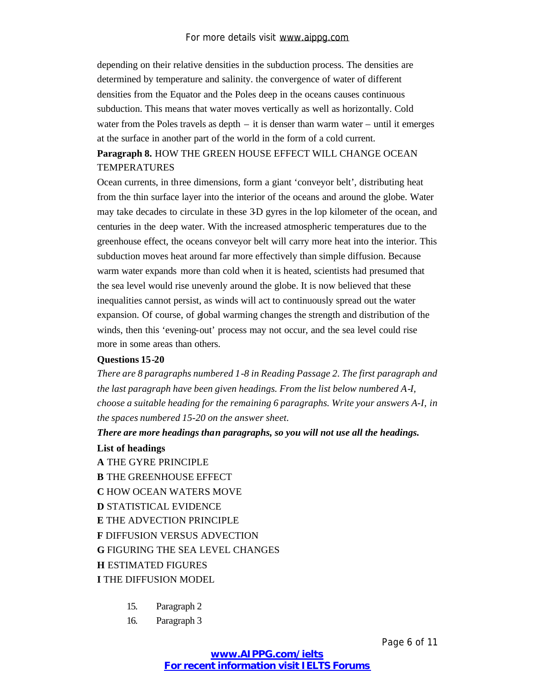depending on their relative densities in the subduction process. The densities are determined by temperature and salinity. the convergence of water of different densities from the Equator and the Poles deep in the oceans causes continuous subduction. This means that water moves vertically as well as horizontally. Cold water from the Poles travels as depth  $-$  it is denser than warm water  $-$  until it emerges at the surface in another part of the world in the form of a cold current.

# **Paragraph 8.** HOW THE GREEN HOUSE EFFECT WILL CHANGE OCEAN TEMPERATURES

Ocean currents, in three dimensions, form a giant 'conveyor belt', distributing heat from the thin surface layer into the interior of the oceans and around the globe. Water may take decades to circulate in these 3D gyres in the lop kilometer of the ocean, and centuries in the deep water. With the increased atmospheric temperatures due to the greenhouse effect, the oceans conveyor belt will carry more heat into the interior. This subduction moves heat around far more effectively than simple diffusion. Because warm water expands more than cold when it is heated, scientists had presumed that the sea level would rise unevenly around the globe. It is now believed that these inequalities cannot persist, as winds will act to continuously spread out the water expansion. Of course, of global warming changes the strength and distribution of the winds, then this 'evening-out' process may not occur, and the sea level could rise more in some areas than others.

### **Questions 15-20**

*There are 8 paragraphs numbered 1-8 in Reading Passage 2. The first paragraph and the last paragraph have been given headings. From the list below numbered A-I, choose a suitable heading for the remaining 6 paragraphs. Write your answers A-I, in the spaces numbered 15-20 on the answer sheet.* 

*There are more headings than paragraphs, so you will not use all the headings.*

### **List of headings**

- **A** THE GYRE PRINCIPLE **B** THE GREENHOUSE EFFECT **C** HOW OCEAN WATERS MOVE **D** STATISTICAL EVIDENCE **E** THE ADVECTION PRINCIPLE **F** DIFFUSION VERSUS ADVECTION **G** FIGURING THE SEA LEVEL CHANGES **H** ESTIMATED FIGURES **I** THE DIFFUSION MODEL
	- 15. Paragraph 2
	- 16. Paragraph 3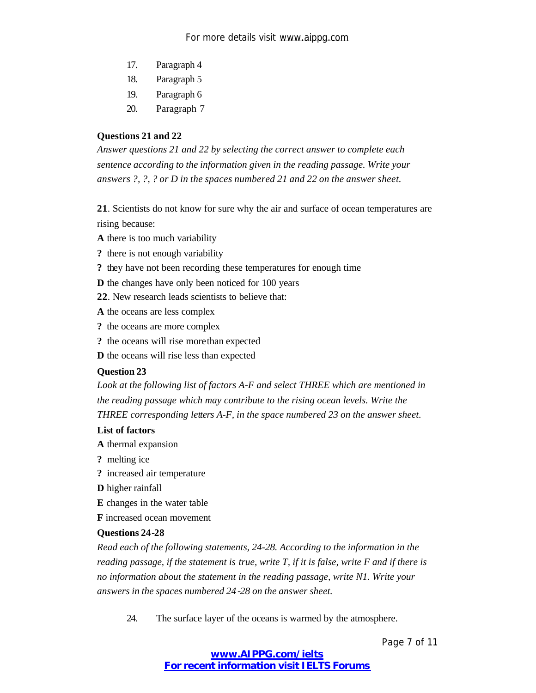- 17. Paragraph 4
- 18. Paragraph 5
- 19. Paragraph 6
- 20. Paragraph 7

# **Questions 21 and 22**

*Answer questions 21 and 22 by selecting the correct answer to complete each sentence according to the information given in the reading passage. Write your answers ?, ?, ? or D in the spaces numbered 21 and 22 on the answer sheet.* 

**21**. Scientists do not know for sure why the air and surface of ocean temperatures are rising because:

- **A** there is too much variability
- **?** there is not enough variability
- **?** they have not been recording these temperatures for enough time
- **D** the changes have only been noticed for 100 years
- **22**. New research leads scientists to believe that:
- **A** the oceans are less complex
- **?** the oceans are more complex
- **?** the oceans will rise more than expected

**D** the oceans will rise less than expected

# **Question 23**

Look at the following list of factors A-F and select THREE which are mentioned in *the reading passage which may contribute to the rising ocean levels. Write the THREE corresponding letters A-F, in the space numbered 23 on the answer sheet.*

### **List of factors**

- **A** thermal expansion
- **?** melting ice
- **?** increased air temperature
- **D** higher rainfall
- **E** changes in the water table
- **F** increased ocean movement

# **Questions 24-28**

*Read each of the following statements, 24-28. According to the information in the reading passage, if the statement is true, write T, if it is false, write F and if there is no information about the statement in the reading passage, write N1. Write your answers in the spaces numbered 24 -28 on the answer sheet.*

24. The surface layer of the oceans is warmed by the atmosphere.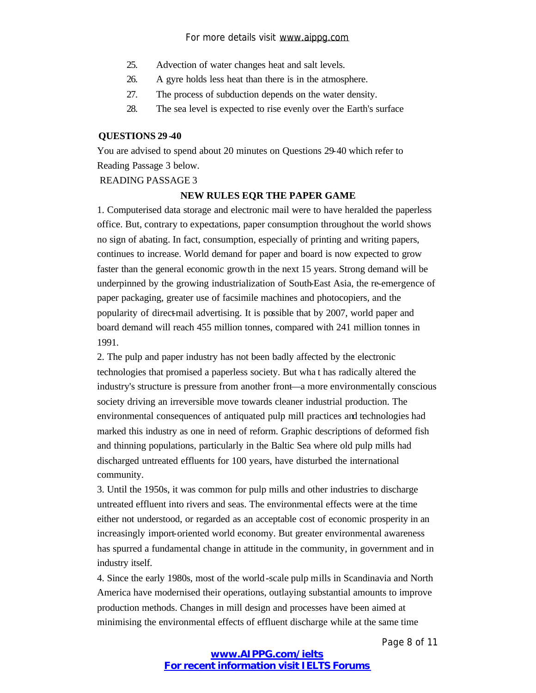- 25. Advection of water changes heat and salt levels.
- 26. A gyre holds less heat than there is in the atmosphere.
- 27. The process of subduction depends on the water density.
- 28. The sea level is expected to rise evenly over the Earth's surface

### **QUESTIONS 29 -40**

You are advised to spend about 20 minutes on Questions 29-40 which refer to Reading Passage 3 below.

READING PASSAGE 3

### **NEW RULES EQR THE PAPER GAME**

1. Computerised data storage and electronic mail were to have heralded the paperless office. But, contrary to expectations, paper consumption throughout the world shows no sign of abating. In fact, consumption, especially of printing and writing papers, continues to increase. World demand for paper and board is now expected to grow faster than the general economic growth in the next 15 years. Strong demand will be underpinned by the growing industrialization of South-East Asia, the re-emergence of paper packaging, greater use of facsimile machines and photocopiers, and the popularity of direct-mail advertising. It is possible that by 2007, world paper and board demand will reach 455 million tonnes, compared with 241 million tonnes in 1991.

2. The pulp and paper industry has not been badly affected by the electronic technologies that promised a paperless society. But wha t has radically altered the industry's structure is pressure from another front—a more environmentally conscious society driving an irreversible move towards cleaner industrial production. The environmental consequences of antiquated pulp mill practices and technologies had marked this industry as one in need of reform. Graphic descriptions of deformed fish and thinning populations, particularly in the Baltic Sea where old pulp mills had discharged untreated effluents for 100 years, have disturbed the international community.

3. Until the 1950s, it was common for pulp mills and other industries to discharge untreated effluent into rivers and seas. The environmental effects were at the time either not understood, or regarded as an acceptable cost of economic prosperity in an increasingly import-oriented world economy. But greater environmental awareness has spurred a fundamental change in attitude in the community, in government and in industry itself.

4. Since the early 1980s, most of the world-scale pulp mills in Scandinavia and North America have modernised their operations, outlaying substantial amounts to improve production methods. Changes in mill design and processes have been aimed at minimising the environmental effects of effluent discharge while at the same time

Page 8 of 11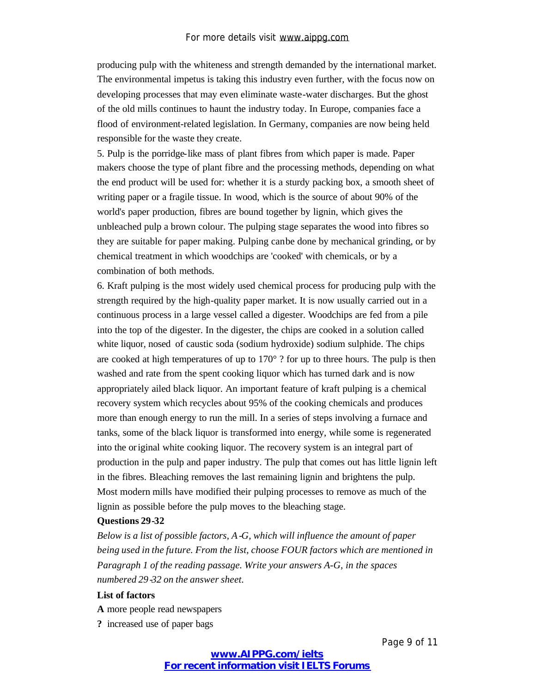producing pulp with the whiteness and strength demanded by the international market. The environmental impetus is taking this industry even further, with the focus now on developing processes that may even eliminate waste-water discharges. But the ghost of the old mills continues to haunt the industry today. In Europe, companies face a flood of environment-related legislation. In Germany, companies are now being held responsible for the waste they create.

5. Pulp is the porridge-like mass of plant fibres from which paper is made. Paper makers choose the type of plant fibre and the processing methods, depending on what the end product will be used for: whether it is a sturdy packing box, a smooth sheet of writing paper or a fragile tissue. In wood, which is the source of about 90% of the world's paper production, fibres are bound together by lignin, which gives the unbleached pulp a brown colour. The pulping stage separates the wood into fibres so they are suitable for paper making. Pulping can be done by mechanical grinding, or by chemical treatment in which woodchips are 'cooked' with chemicals, or by a combination of both methods.

6. Kraft pulping is the most widely used chemical process for producing pulp with the strength required by the high-quality paper market. It is now usually carried out in a continuous process in a large vessel called a digester. Woodchips are fed from a pile into the top of the digester. In the digester, the chips are cooked in a solution called white liquor, nosed of caustic soda (sodium hydroxide) sodium sulphide. The chips are cooked at high temperatures of up to  $170^\circ$ ? for up to three hours. The pulp is then washed and rate from the spent cooking liquor which has turned dark and is now appropriately ailed black liquor. An important feature of kraft pulping is a chemical recovery system which recycles about 95% of the cooking chemicals and produces more than enough energy to run the mill. In a series of steps involving a furnace and tanks, some of the black liquor is transformed into energy, while some is regenerated into the original white cooking liquor. The recovery system is an integral part of production in the pulp and paper industry. The pulp that comes out has little lignin left in the fibres. Bleaching removes the last remaining lignin and brightens the pulp. Most modern mills have modified their pulping processes to remove as much of the lignin as possible before the pulp moves to the bleaching stage.

### **Questions 29-32**

*Below is a list of possible factors, A-G, which will influence the amount of paper being used in the future. From the list, choose FOUR factors which are mentioned in Paragraph 1 of the reading passage. Write your answers A-G, in the spaces numbered 29 -32 on the answer sheet.*

### **List of factors**

**A** more people read newspapers

**?** increased use of paper bags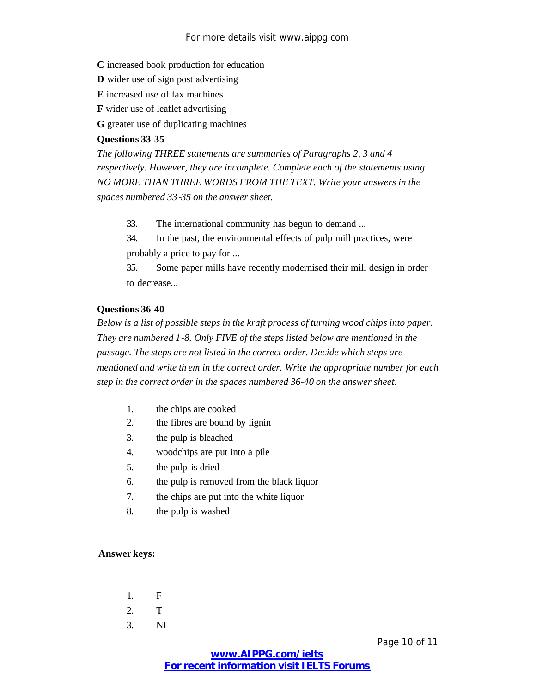**C** increased book production for education

**D** wider use of sign post advertising

**E** increased use of fax machines

**F** wider use of leaflet advertising

**G** greater use of duplicating machines

### **Questions 33-35**

*The following THREE statements are summaries of Paragraphs 2, 3 and 4 respectively. However, they are incomplete. Complete each of the statements using NO MORE THAN THREE WORDS FROM THE TEXT. Write your answers in the spaces numbered 33 -35 on the answer sheet.*

33. The international community has begun to demand ...

34. In the past, the environmental effects of pulp mill practices, were probably a price to pay for ...

35. Some paper mills have recently modernised their mill design in order to decrease...

### **Questions 36-40**

*Below is a list of possible steps in the kraft process of turning wood chips into paper. They are numbered 1-8. Only FIVE of the steps listed below are mentioned in the passage. The steps are not listed in the correct order. Decide which steps are mentioned and write th em in the correct order. Write the appropriate number for each step in the correct order in the spaces numbered 36-40 on the answer sheet*.

- 1. the chips are cooked
- 2. the fibres are bound by lignin
- 3. the pulp is bleached
- 4. woodchips are put into a pile
- 5. the pulp is dried
- 6. the pulp is removed from the black liquor
- 7. the chips are put into the white liquor
- 8. the pulp is washed

### **Answer keys:**

- 1. F 2. T
- 3. NI

Page 10 of 11

 **www.AIPPG.com/ielts For recent information visit IELTS Forums**